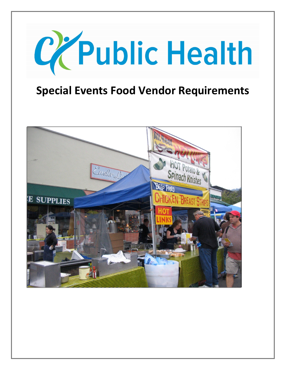

# **Special Events Food Vendor Requirements**

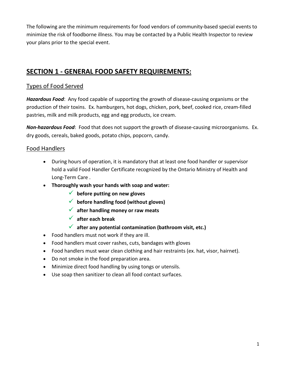The following are the minimum requirements for food vendors of community-based special events to minimize the risk of foodborne illness. You may be contacted by a Public Health Inspector to review your plans prior to the special event.

# **SECTION 1 - GENERAL FOOD SAFETY REQUIREMENTS:**

# Types of Food Served

*Hazardous Food*: Any food capable of supporting the growth of disease-causing organisms or the production of their toxins. Ex. hamburgers, hot dogs, chicken, pork, beef, cooked rice, cream-filled pastries, milk and milk products, egg and egg products, ice cream.

*Non-hazardous Food*: Food that does not support the growth of disease-causing microorganisms. Ex. dry goods, cereals, baked goods, potato chips, popcorn, candy.

## Food Handlers

- During hours of operation, it is mandatory that at least one food handler or supervisor hold a valid Food Handler Certificate recognized by the Ontario Ministry of Health and Long-Term Care .
- **Thoroughly wash your hands with soap and water:**
	- **before putting on new gloves**
	- **before handling food (without gloves)**
	- **after handling money or raw meats**
	- **after each break**
	- **after any potential contamination (bathroom visit, etc.)**
- Food handlers must not work if they are ill.
- Food handlers must cover rashes, cuts, bandages with gloves
- Food handlers must wear clean clothing and hair restraints (ex. hat, visor, hairnet).
- Do not smoke in the food preparation area.
- Minimize direct food handling by using tongs or utensils.
- Use soap then sanitizer to clean all food contact surfaces.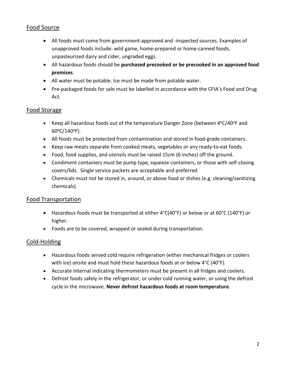# Food Source

- All foods must come from government-approved and -inspected sources. Examples of unapproved foods include: wild game, home-prepared or home-canned foods, unpasteurized dairy and cider, ungraded eggs.
- All hazardous foods should be **purchased precooked or be precooked in an approved food premises**.
- All water must be potable. Ice must be made from potable water.
- Pre-packaged foods for sale must be labelled in accordance with the CFIA's Food and Drug Act.

# Food Storage

- Keep all hazardous foods out of the temperature Danger Zone (between  $4^{\circ}C/40^{\circ}F$  and  $60^{\circ}$ C/140 $^{\circ}$ F).
- All foods must be protected from contamination and stored in food-grade containers.
- Keep raw meats separate from cooked meats, vegetables or any ready-to-eat foods.
- Food, food supplies, and utensils must be raised 15cm (6 inches) off the ground.
- Condiment containers must be pump type, squeeze containers, or those with self-closing covers/lids. Single service packets are acceptable and preferred.
- Chemicals must not be stored in, around, or above food or dishes (e.g. cleaning/sanitizing chemicals).

# Food Transportation

- Hazardous foods must be transported at either 4°C(40°F) or below or at 60°C (140°F) or higher.
- Foods are to be covered, wrapped or sealed during transportation.

# Cold-Holding

- Hazardous foods served cold require refrigeration (either mechanical fridges or coolers with ice) onsite and must hold these hazardous foods at or below 4°C (40°F).
- Accurate internal indicating thermometers must be present in all fridges and coolers.
- Defrost foods safely in the refrigerator, or under cold running water, or using the defrost cycle in the microwave. **Never defrost hazardous foods at room temperature**.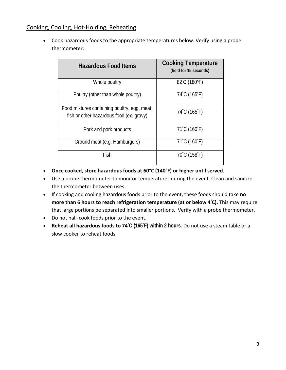## Cooking, Cooling, Hot-Holding, Reheating

• Cook hazardous foods to the appropriate temperatures below. Verify using a probe thermometer:

| <b>Hazardous Food Items</b>                                                              | <b>Cooking Temperature</b><br>(hold for 15 seconds) |
|------------------------------------------------------------------------------------------|-----------------------------------------------------|
| Whole poultry                                                                            | 82°C (180°F)                                        |
| Poultry (other than whole poultry)                                                       | 74°C (165°F)                                        |
| Food mixtures containing poultry, egg, meat,<br>fish or other hazardous food (ex. gravy) | $74^{\circ}$ C (165 $^{\circ}$ F)                   |
| Pork and pork products                                                                   | 71°C (160°F)                                        |
| Ground meat (e.g. Hamburgers)                                                            | 71°C (160°F)                                        |
| Fish                                                                                     | 70°C (158°F)                                        |

- **Once cooked, store hazardous foods at 60°C (140°F) or higher until served**.
- Use a probe thermometer to monitor temperatures during the event. Clean and sanitize the thermometer between uses.
- If cooking and cooling hazardous foods prior to the event, these foods should take **no more than 6 hours to reach refrigeration temperature (at or below 4<sup>º</sup> C).** This may require that large portions be separated into smaller portions. Verify with a probe thermometer.
- Do not half-cook foods prior to the event.
- **Reheat all hazardous foods to 74<sup>º</sup> C (165<sup>º</sup> F) within 2 hours**. Do not use a steam table or a slow cooker to reheat foods.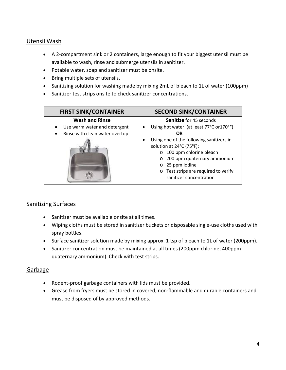## Utensil Wash

- A 2-compartment sink or 2 containers, large enough to fit your biggest utensil must be available to wash, rinse and submerge utensils in sanitizer.
- Potable water, soap and sanitizer must be onsite.
- Bring multiple sets of utensils.
- Sanitizing solution for washing made by mixing 2mL of bleach to 1L of water (100ppm)
- Sanitizer test strips onsite to check sanitizer concentrations.

| <b>FIRST SINK/CONTAINER</b>                                                                          | <b>SECOND SINK/CONTAINER</b>                                                                                                                                                                                                                                                                                                                |
|------------------------------------------------------------------------------------------------------|---------------------------------------------------------------------------------------------------------------------------------------------------------------------------------------------------------------------------------------------------------------------------------------------------------------------------------------------|
| <b>Wash and Rinse</b><br>Use warm water and detergent<br>Rinse with clean water overtop<br>$\bullet$ | <b>Sanitize</b> for 45 seconds<br>Using hot water (at least 77°C or 170°F)<br><b>OR</b><br>Using one of the following sanitizers in<br>solution at 24°C (75°F):<br>100 ppm chlorine bleach<br>$\circ$<br>200 ppm quaternary ammonium<br>$\circ$<br>$\circ$ 25 ppm iodine<br>o Test strips are required to verify<br>sanitizer concentration |

## Sanitizing Surfaces

- Sanitizer must be available onsite at all times.
- Wiping cloths must be stored in sanitizer buckets or disposable single-use cloths used with spray bottles.
- Surface sanitizer solution made by mixing approx. 1 tsp of bleach to 1L of water (200ppm).
- Sanitizer concentration must be maintained at all times (200ppm chlorine; 400ppm quaternary ammonium). Check with test strips.

## Garbage

- Rodent-proof garbage containers with lids must be provided.
- Grease from fryers must be stored in covered, non-flammable and durable containers and must be disposed of by approved methods.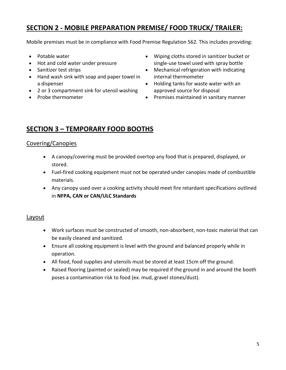# **SECTION 2 - MOBILE PREPARATION PREMISE/ FOOD TRUCK/ TRAILER:**

Mobile premises must be in compliance with Food Premise Regulation 562. This includes providing:

- Potable water
- Hot and cold water under pressure
- Sanitizer test strips
- Hand wash sink with soap and paper towel in a dispenser
- 2 or 3 compartment sink for utensil washing
- Probe thermometer
- Wiping cloths stored in sanitizer bucket or single-use towel used with spray bottle
- Mechanical refrigeration with indicating internal thermometer
- Holding tanks for waste water with an approved source for disposal
- Premises maintained in sanitary manner

# **SECTION 3 – TEMPORARY FOOD BOOTHS**

## Covering/Canopies

- A canopy/covering must be provided overtop any food that is prepared, displayed, or stored.
- Fuel-fired cooking equipment must not be operated under canopies made of combustible materials.
- Any canopy used over a cooking activity should meet fire retardant specifications outlined in **NFPA, CAN or CAN/ULC Standards**

## Layout

- Work surfaces must be constructed of smooth, non-absorbent, non-toxic material that can be easily cleaned and sanitized.
- Ensure all cooking equipment is level with the ground and balanced properly while in operation.
- All food, food supplies and utensils must be stored at least 15cm off the ground.
- Raised flooring (painted or sealed) may be required if the ground in and around the booth poses a contamination risk to food (ex. mud, gravel stones/dust).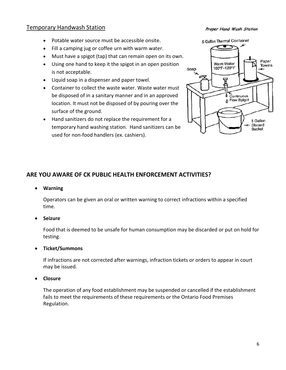### Temporary Handwash Station

#### Proper Hand Wash Station

- Potable water source must be accessible onsite.
- Fill a camping jug or coffee urn with warm water.
- Must have a spigot (tap) that can remain open on its own.
- Using one hand to keep it the spigot in an open position is not acceptable.
- Liquid soap in a dispenser and paper towel.
- Container to collect the waste water. Waste water must be disposed of in a sanitary manner and in an approved location. It must not be disposed of by pouring over the surface of the ground.
- Hand sanitizers do not replace the requirement for a temporary hand washing station. Hand sanitizers can be used for non-food handlers (ex. cashiers).

5 Gallon Thermal Container Paper Warm Water Towels 100°F-120°F Soap ٨ Continuous B Flow Spigot 5 Gallon Discard Bucket

#### **ARE YOU AWARE OF CK PUBLIC HEALTH ENFORCEMENT ACTIVITIES?**

• **Warning**

Operators can be given an oral or written warning to correct infractions within a specified time.

• **Seizure**

Food that is deemed to be unsafe for human consumption may be discarded or put on hold for testing.

• **Ticket/Summons**

If infractions are not corrected after warnings, infraction tickets or orders to appear in court may be issued.

• **Closure**

The operation of any food establishment may be suspended or cancelled if the establishment fails to meet the requirements of these requirements or the Ontario Food Premises Regulation.